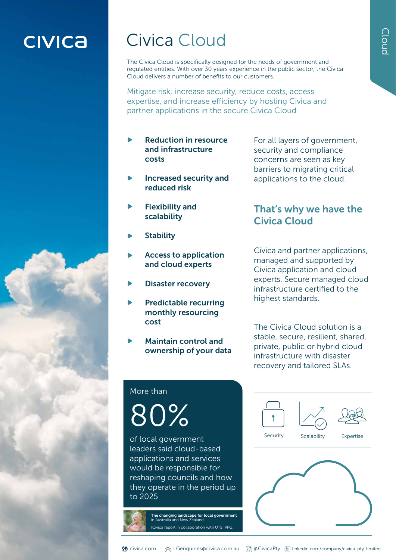## **CIVICA**

### Civica Cloud

The Civica Cloud is specifically designed for the needs of government and regulated entities. With over 30 years experience in the public sector, the Civica Cloud delivers a number of benefits to our customers.

Mitigate risk, increase security, reduce costs, access expertise, and increase efficiency by hosting Civica and partner applications in the secure Civica Cloud

- Reduction in resource and infrastructure costs
- Increased security and reduced risk
- Flexibility and scalability
- **Stability**
- Access to application and cloud experts
- Disaster recovery
- Predictable recurring monthly resourcing cost
- Maintain control and ownership of your data

For all layers of government, security and compliance concerns are seen as key barriers to migrating critical applications to the cloud.

#### That's why we have the Civica Cloud

Civica and partner applications, managed and supported by Civica application and cloud experts. Secure managed cloud infrastructure certified to the highest standards.

The Civica Cloud solution is a stable, secure, resilient, shared, private, public or hybrid cloud infrastructure with disaster recovery and tailored SLAs.

#### More than

80%

of local government leaders said cloud-based applications and services would be responsible for reshaping councils and how they operate in the period up to 2025

> The changing landscape for local government in Australia and New Zealand (Civica report in collaboration with UTS:IPPG)



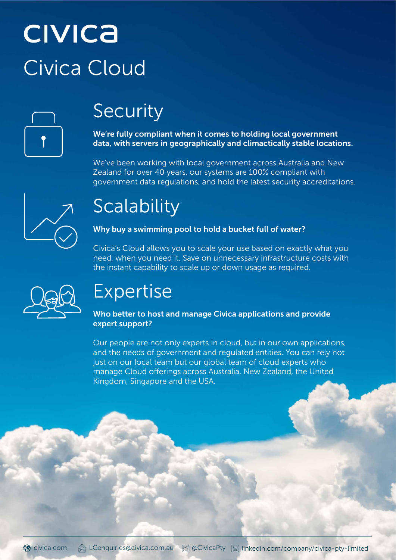# **CIVICA** Civica Cloud



# Security

We're fully compliant when it comes to holding local government data, with servers in geographically and climactically stable locations.

We've been working with local government across Australia and New Zealand for over 40 years, our systems are 100% compliant with government data regulations, and hold the latest security accreditations.



# **Scalability**

#### Why buy a swimming pool to hold a bucket full of water?

Civica's Cloud allows you to scale your use based on exactly what you need, when you need it. Save on unnecessary infrastructure costs with the instant capability to scale up or down usage as required.



# Expertise

#### Who better to host and manage Civica applications and provide expert support?

Our people are not only experts in cloud, but in our own applications, and the needs of government and regulated entities. You can rely not just on our local team but our global team of cloud experts who manage Cloud offerings across Australia, New Zealand, the United Kingdom, Singapore and the USA.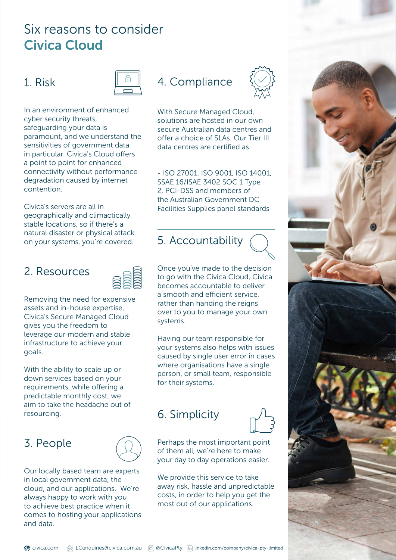### Six reasons to consider Civica Cloud

#### 1. Risk



In an environment of enhanced cyber security threats, safeguarding your data is paramount, and we understand the sensitivities of government data in particular. Civica's Cloud offers a point to point for enhanced connectivity without performance degradation caused by internet contention.

Civica's servers are all in geographically and climactically stable locations, so if there's a natural disaster or physical attack on your systems, you're covered.

#### 2. Resources



Removing the need for expensive assets and in-house expertise, Civica's Secure Managed Cloud gives you the freedom to leverage our modern and stable infrastructure to achieve your goals.

With the ability to scale up or down services based on your requirements, while offering a predictable monthly cost, we aim to take the headache out of resourcing.

#### 3. People



### 4. Compliance



- ISO 27001, ISO 9001, ISO 14001, SSAE 16/ISAE 3402 SOC 1 Type 2, PCI-DSS and members of the Australian Government DC Facilities Supplies panel standards

### 5. Accountability

Once you've made to the decision to go with the Civica Cloud, Civica becomes accountable to deliver a smooth and efficient service, rather than handing the reigns over to you to manage your own systems.

Having our team responsible for your systems also helps with issues caused by single user error in cases where organisations have a single person, or small team, responsible for their systems.

### 6. Simplicity



Perhaps the most important point of them all, we're here to make your day to day operations easier.

We provide this service to take away risk, hassle and unpredictable costs, in order to help you get the most out of our applications.